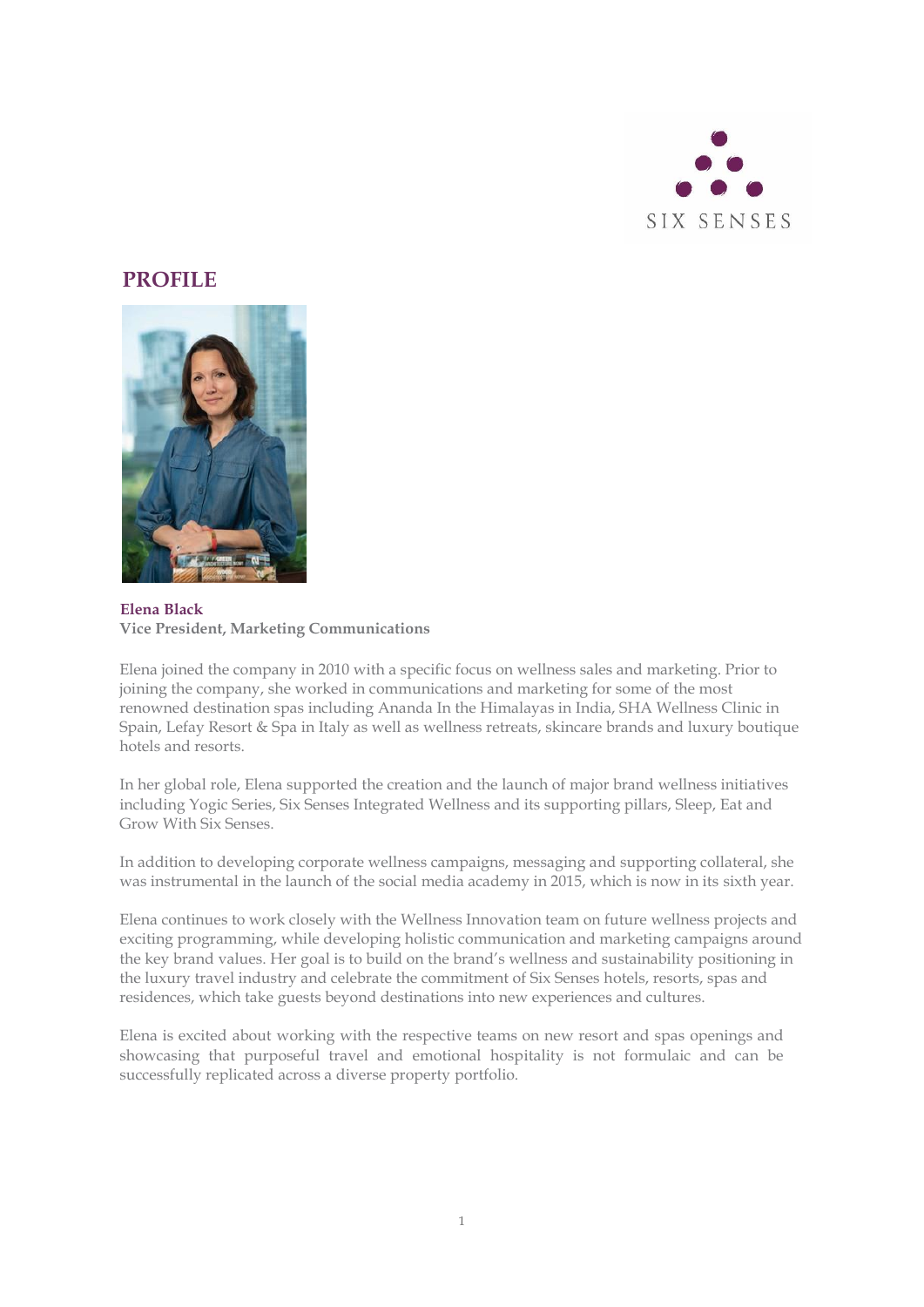

## **PROFILE**



## **Elena Black Vice President, Marketing Communications**

Elena joined the company in 2010 with a specific focus on wellness sales and marketing. Prior to joining the company, she worked in communications and marketing for some of the most renowned destination spas including Ananda In the Himalayas in India, SHA Wellness Clinic in Spain, Lefay Resort & Spa in Italy as well as wellness retreats, skincare brands and luxury boutique hotels and resorts.

In her global role, Elena supported the creation and the launch of major brand wellness initiatives including Yogic Series, Six Senses Integrated Wellness and its supporting pillars, Sleep, Eat and Grow With Six Senses.

In addition to developing corporate wellness campaigns, messaging and supporting collateral, she was instrumental in the launch of the social media academy in 2015, which is now in its sixth year.

Elena continues to work closely with the Wellness Innovation team on future wellness projects and exciting programming, while developing holistic communication and marketing campaigns around the key brand values. Her goal is to build on the brand's wellness and sustainability positioning in the luxury travel industry and celebrate the commitment of Six Senses hotels, resorts, spas and residences, which take guests beyond destinations into new experiences and cultures.

Elena is excited about working with the respective teams on new resort and spas openings and showcasing that purposeful travel and emotional hospitality is not formulaic and can be successfully replicated across a diverse property portfolio.